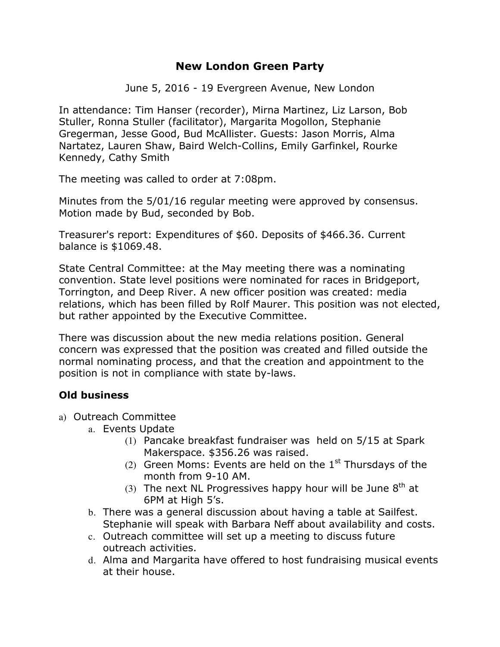# **New London Green Party**

June 5, 2016 - 19 Evergreen Avenue, New London

In attendance: Tim Hanser (recorder), Mirna Martinez, Liz Larson, Bob Stuller, Ronna Stuller (facilitator), Margarita Mogollon, Stephanie Gregerman, Jesse Good, Bud McAllister. Guests: Jason Morris, Alma Nartatez, Lauren Shaw, Baird Welch-Collins, Emily Garfinkel, Rourke Kennedy, Cathy Smith

The meeting was called to order at 7:08pm.

Minutes from the 5/01/16 regular meeting were approved by consensus. Motion made by Bud, seconded by Bob.

Treasurer's report: Expenditures of \$60. Deposits of \$466.36. Current balance is \$1069.48.

State Central Committee: at the May meeting there was a nominating convention. State level positions were nominated for races in Bridgeport, Torrington, and Deep River. A new officer position was created: media relations, which has been filled by Rolf Maurer. This position was not elected, but rather appointed by the Executive Committee.

There was discussion about the new media relations position. General concern was expressed that the position was created and filled outside the normal nominating process, and that the creation and appointment to the position is not in compliance with state by-laws.

### **Old business**

- a) Outreach Committee
	- a. Events Update
		- (1) Pancake breakfast fundraiser was held on 5/15 at Spark Makerspace. \$356.26 was raised.
		- (2) Green Moms: Events are held on the  $1<sup>st</sup>$  Thursdays of the month from 9-10 AM.
		- (3) The next NL Progressives happy hour will be June  $8<sup>th</sup>$  at 6PM at High 5's.
	- b. There was a general discussion about having a table at Sailfest. Stephanie will speak with Barbara Neff about availability and costs.
	- c. Outreach committee will set up a meeting to discuss future outreach activities.
	- d. Alma and Margarita have offered to host fundraising musical events at their house.